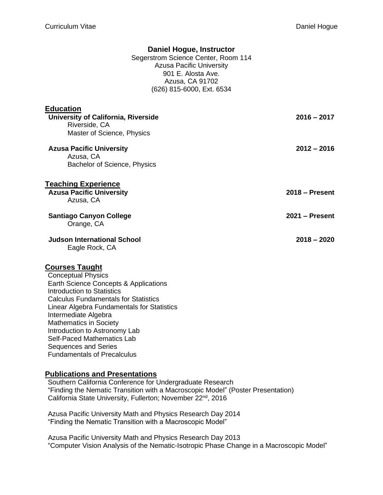## **Daniel Hogue, Instructor**

Segerstrom Science Center, Room 114 Azusa Pacific University 901 E. Alosta Ave. Azusa, CA 91702 (626) 815-6000, Ext. 6534

| <b>Education</b><br>University of California, Riverside<br>Riverside, CA<br>Master of Science, Physics | $2016 - 2017$    |
|--------------------------------------------------------------------------------------------------------|------------------|
| <b>Azusa Pacific University</b><br>Azusa, CA<br>Bachelor of Science, Physics                           | $2012 - 2016$    |
| <b>Teaching Experience</b><br><b>Azusa Pacific University</b><br>Azusa, CA                             | $2018 -$ Present |
| <b>Santiago Canyon College</b><br>Orange, CA                                                           | $2021 -$ Present |
| <b>Judson International School</b><br>Eagle Rock, CA                                                   | $2018 - 2020$    |
| <b>Courses Taught</b><br><b>Conceptual Physics</b><br>Earth Science Concents & Annlications            |                  |

Earth Science Concepts & Applications Introduction to Statistics Calculus Fundamentals for Statistics Linear Algebra Fundamentals for Statistics Intermediate Algebra Mathematics in Society Introduction to Astronomy Lab Self-Paced Mathematics Lab Sequences and Series Fundamentals of Precalculus

## **Publications and Presentations**

Southern California Conference for Undergraduate Research "Finding the Nematic Transition with a Macroscopic Model" (Poster Presentation) California State University, Fullerton; November 22<sup>nd</sup>, 2016

Azusa Pacific University Math and Physics Research Day 2014 "Finding the Nematic Transition with a Macroscopic Model"

Azusa Pacific University Math and Physics Research Day 2013 "Computer Vision Analysis of the Nematic-Isotropic Phase Change in a Macroscopic Model"